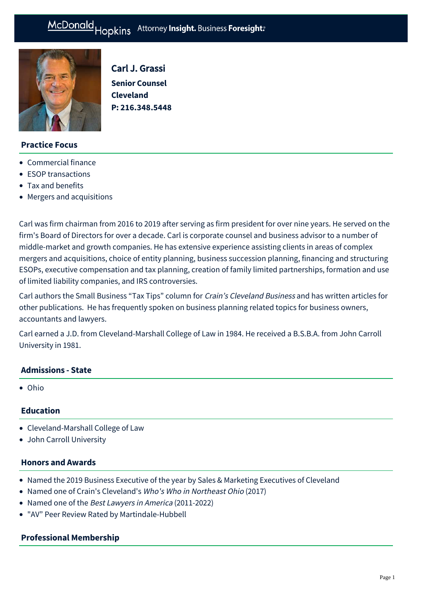

Carl J. Grassi **Senior Counsel Cleveland P: [216.348.5448](tel:216.348.5448)**

## **Practice Focus**

- [Commercial finance](https://mcdonaldhopkins.com/Expertise/Finance/Commercial-finance)
- [ESOP transactions](https://mcdonaldhopkins.com/Expertise/Business-counseling/ESOP-transactions)
- [Tax and benefits](https://mcdonaldhopkins.com/Expertise/Tax-and-benefits)
- [Mergers and acquisitions](https://mcdonaldhopkins.com/Expertise/Mergers-and-acquisitions)

Carl was firm chairman from 2016 to 2019 after serving as firm president for over nine years. He served on the firm's Board of Directors for over a decade. Carl is corporate counsel and business advisor to a number of middle-market and growth companies. He has extensive experience assisting clients in areas of complex mergers and acquisitions, choice of entity planning, business succession planning, financing and structuring ESOPs, executive compensation and tax planning, creation of family limited partnerships, formation and use of limited liability companies, and IRS controversies.

Carl authors the Small Business "Tax Tips" column for Crain's Cleveland Business and has written articles for other publications. He has frequently spoken on business planning related topics for business owners, accountants and lawyers.

Carl earned a J.D. from Cleveland-Marshall College of Law in 1984. He received a B.S.B.A. from John Carroll University in 1981.

## **Admissions - State**

Ohio

## **Education**

- Cleveland-Marshall College of Law
- John Carroll University

#### **Honors and Awards**

- Named the 2019 Business Executive of the year by Sales & Marketing Executives of Cleveland
- Named one of Crain's Cleveland's Who's Who in Northeast Ohio (2017)
- Named one of the Best Lawyers in America (2011-2022)
- "AV" Peer Review Rated by Martindale-Hubbell

## **Professional Membership**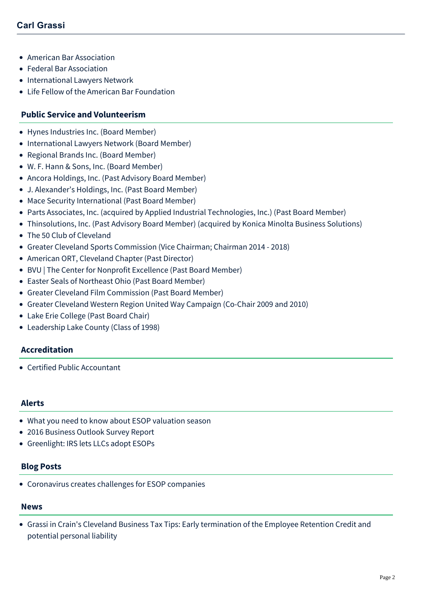- American Bar Association
- Federal Bar Association
- International Lawyers Network
- Life Fellow of the American Bar Foundation

## **Public Service and Volunteerism**

- Hynes Industries Inc. (Board Member)
- International Lawyers Network (Board Member)
- Regional Brands Inc. (Board Member)
- W. F. Hann & Sons, Inc. (Board Member)
- Ancora Holdings, Inc. (Past Advisory Board Member)
- J. Alexander's Holdings, Inc. (Past Board Member)
- Mace Security International (Past Board Member)
- Parts Associates, Inc. (acquired by Applied Industrial Technologies, Inc.) (Past Board Member)
- Thinsolutions, Inc. (Past Advisory Board Member) (acquired by Konica Minolta Business Solutions)
- The 50 Club of Cleveland
- Greater Cleveland Sports Commission (Vice Chairman; Chairman 2014 2018)
- American ORT, Cleveland Chapter (Past Director)
- BVU | The Center for Nonprofit Excellence (Past Board Member)
- Easter Seals of Northeast Ohio (Past Board Member)
- Greater Cleveland Film Commission (Past Board Member)
- Greater Cleveland Western Region United Way Campaign (Co-Chair 2009 and 2010)
- Lake Erie College (Past Board Chair)
- Leadership Lake County (Class of 1998)

#### **Accreditation**

Certified Public Accountant

## **Alerts**

- [What you need to know about ESOP valuation season](https://mcdonaldhopkins.com/Insights/March-2018/What-you-need-to-know-about-ESOP-valuation-season)
- [2016 Business Outlook Survey Report](https://mcdonaldhopkins.com/Insights/February-2016/2016-Business-Outlook-Survey-Report)
- [Greenlight: IRS lets LLCs adopt ESOPs](https://mcdonaldhopkins.com/Insights/January-2016/Greenlight-IRS-lets-LLCs-adopt-ESOPs)

### **Blog Posts**

[Coronavirus creates challenges for ESOP companies](https://mcdonaldhopkins.com/Insights/April-2020/Coronavirus-creates-challenges-for-ESOP-companies)

#### **News**

[Grassi in Crain's Cleveland Business Tax Tips: Early termination of the Employee Retention Credit and](https://mcdonaldhopkins.com/Insights/December-2021/Grassi-in-Crain-s-Cleveland-Business-Tax-Tips-Earl) potential personal liability